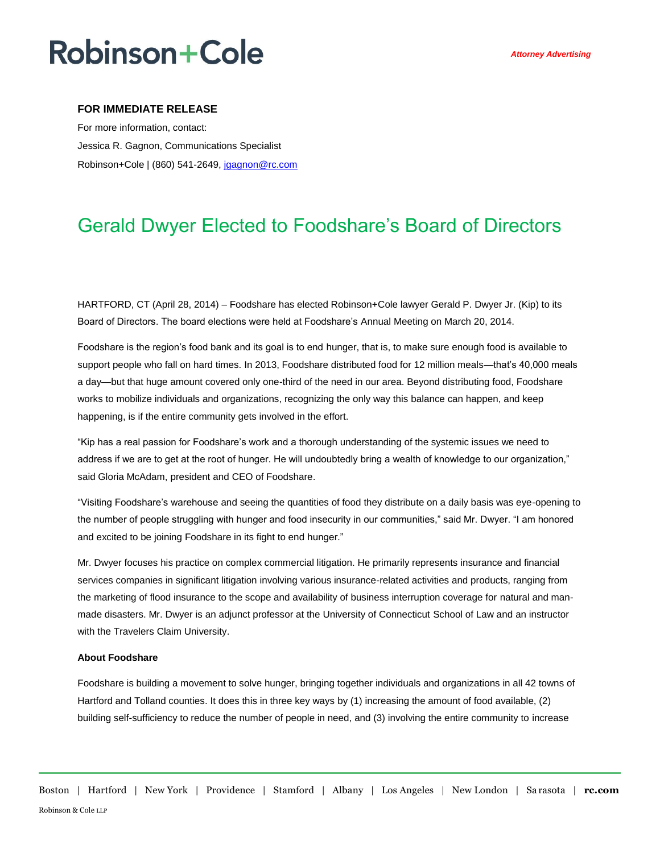# **Robinson+Cole**

### **FOR IMMEDIATE RELEASE**

For more information, contact: Jessica R. Gagnon, Communications Specialist Robinson+Cole | (860) 541-2649[, jgagnon@rc.com](mailto:jgagnon@rc.com)

### Gerald Dwyer Elected to Foodshare's Board of Directors

HARTFORD, CT (April 28, 2014) – Foodshare has elected Robinson+Cole lawyer Gerald P. Dwyer Jr. (Kip) to its Board of Directors. The board elections were held at Foodshare's Annual Meeting on March 20, 2014.

Foodshare is the region's food bank and its goal is to end hunger, that is, to make sure enough food is available to support people who fall on hard times. In 2013, Foodshare distributed food for 12 million meals—that's 40,000 meals a day—but that huge amount covered only one-third of the need in our area. Beyond distributing food, Foodshare works to mobilize individuals and organizations, recognizing the only way this balance can happen, and keep happening, is if the entire community gets involved in the effort.

"Kip has a real passion for Foodshare's work and a thorough understanding of the systemic issues we need to address if we are to get at the root of hunger. He will undoubtedly bring a wealth of knowledge to our organization," said Gloria McAdam, president and CEO of Foodshare.

"Visiting Foodshare's warehouse and seeing the quantities of food they distribute on a daily basis was eye-opening to the number of people struggling with hunger and food insecurity in our communities," said Mr. Dwyer. "I am honored and excited to be joining Foodshare in its fight to end hunger."

Mr. Dwyer focuses his practice on complex commercial litigation. He primarily represents insurance and financial services companies in significant litigation involving various insurance-related activities and products, ranging from the marketing of flood insurance to the scope and availability of business interruption coverage for natural and manmade disasters. Mr. Dwyer is an adjunct professor at the University of Connecticut School of Law and an instructor with the Travelers Claim University.

#### **About Foodshare**

Foodshare is building a movement to solve hunger, bringing together individuals and organizations in all 42 towns of Hartford and Tolland counties. It does this in three key ways by (1) increasing the amount of food available, (2) building self-sufficiency to reduce the number of people in need, and (3) involving the entire community to increase

Boston | Hartford | New York | Providence | Stamford | Albany | Los Angeles | New London | Sa rasota | **rc.com** Robinson & Cole LLP